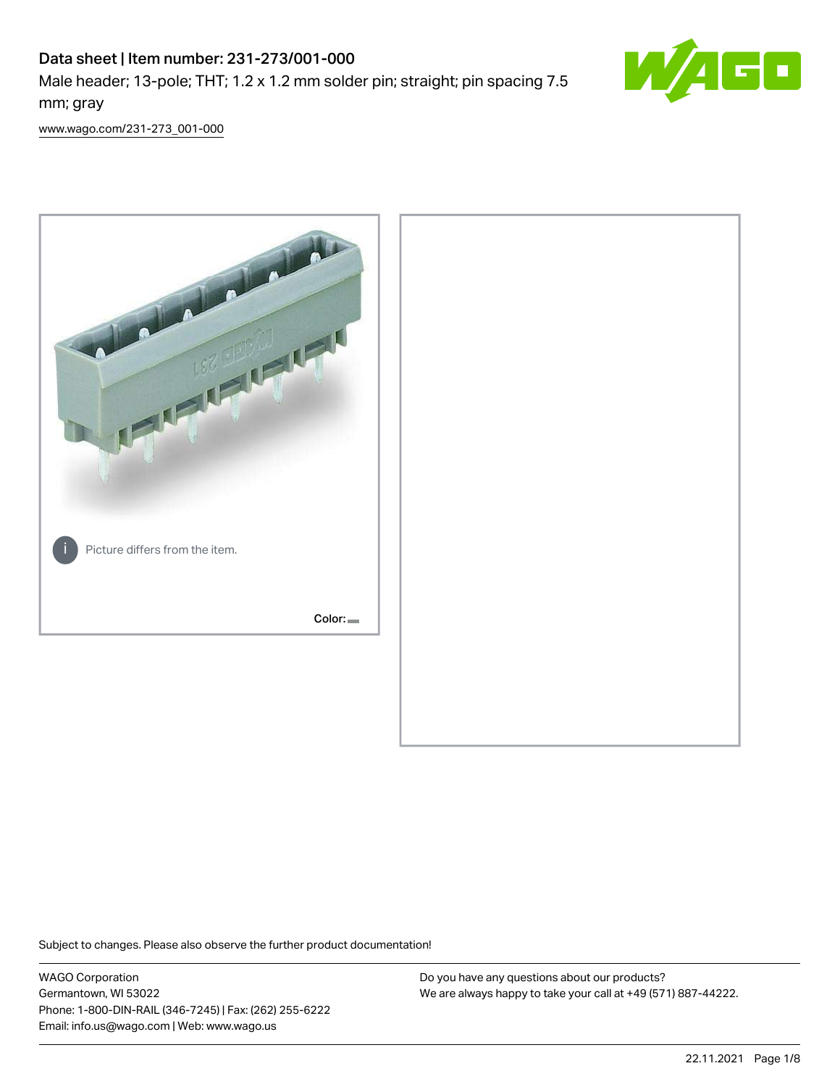# Data sheet | Item number: 231-273/001-000

Male header; 13-pole; THT; 1.2 x 1.2 mm solder pin; straight; pin spacing 7.5 mm; gray



[www.wago.com/231-273\\_001-000](http://www.wago.com/231-273_001-000)



Subject to changes. Please also observe the further product documentation!

WAGO Corporation Germantown, WI 53022 Phone: 1-800-DIN-RAIL (346-7245) | Fax: (262) 255-6222 Email: info.us@wago.com | Web: www.wago.us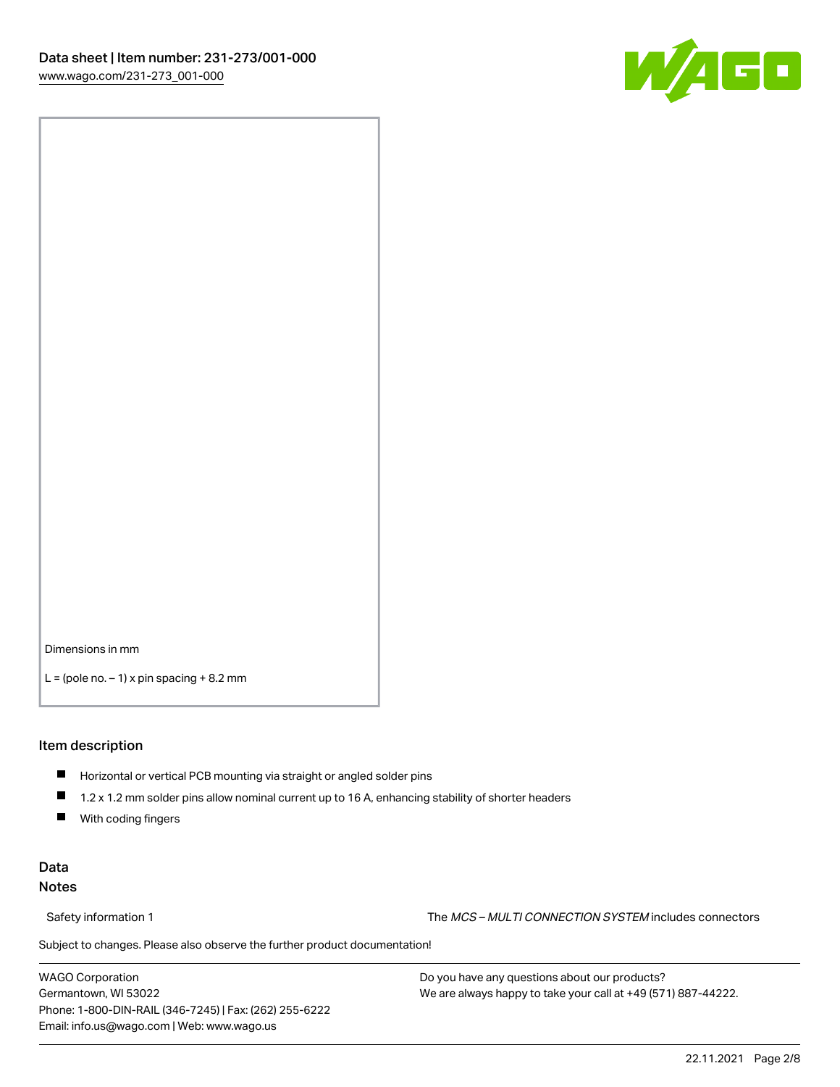

Dimensions in mm

 $L =$  (pole no.  $-1$ ) x pin spacing  $+8.2$  mm

#### Item description

- **Horizontal or vertical PCB mounting via straight or angled solder pins**
- 1.2 x 1.2 mm solder pins allow nominal current up to 16 A, enhancing stability of shorter headers
- $\blacksquare$ With coding fingers

### Data Notes

Safety information 1 The MCS – MULTI CONNECTION SYSTEM includes connectors

Subject to changes. Please also observe the further product documentation!  $\nu$ 

WAGO Corporation Germantown, WI 53022 Phone: 1-800-DIN-RAIL (346-7245) | Fax: (262) 255-6222 Email: info.us@wago.com | Web: www.wago.us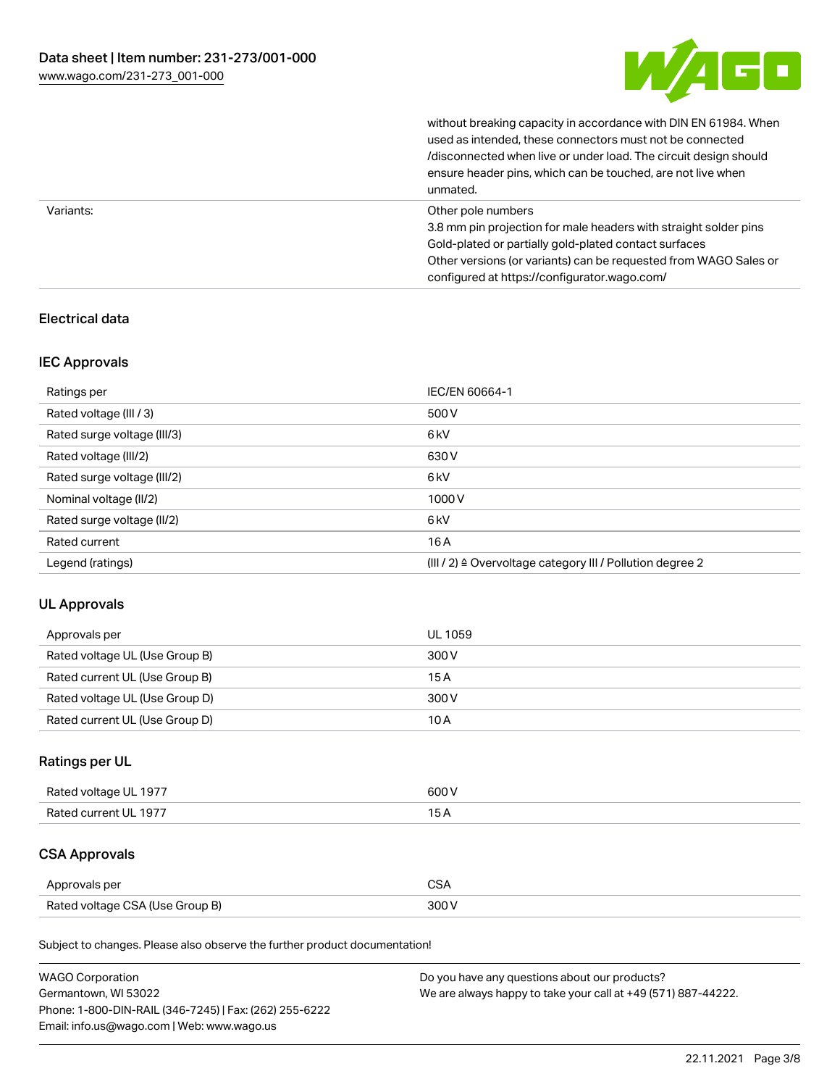

without breaking capacity in accordance with DIN EN 61984. When

|           | used as intended, these connectors must not be connected<br>/disconnected when live or under load. The circuit design should<br>ensure header pins, which can be touched, are not live when<br>unmated.                                                             |
|-----------|---------------------------------------------------------------------------------------------------------------------------------------------------------------------------------------------------------------------------------------------------------------------|
| Variants: | Other pole numbers<br>3.8 mm pin projection for male headers with straight solder pins<br>Gold-plated or partially gold-plated contact surfaces<br>Other versions (or variants) can be requested from WAGO Sales or<br>configured at https://configurator.wago.com/ |

## Electrical data

### IEC Approvals

| Ratings per                 | IEC/EN 60664-1                                                        |
|-----------------------------|-----------------------------------------------------------------------|
| Rated voltage (III / 3)     | 500 V                                                                 |
| Rated surge voltage (III/3) | 6 <sub>kV</sub>                                                       |
| Rated voltage (III/2)       | 630 V                                                                 |
| Rated surge voltage (III/2) | 6 <sub>kV</sub>                                                       |
| Nominal voltage (II/2)      | 1000V                                                                 |
| Rated surge voltage (II/2)  | 6 <sub>kV</sub>                                                       |
| Rated current               | 16A                                                                   |
| Legend (ratings)            | $(III / 2)$ $\triangle$ Overvoltage category III / Pollution degree 2 |

### UL Approvals

| Approvals per                  | UL 1059 |
|--------------------------------|---------|
| Rated voltage UL (Use Group B) | 300 V   |
| Rated current UL (Use Group B) | 15 A    |
| Rated voltage UL (Use Group D) | 300 V   |
| Rated current UL (Use Group D) | 10 A    |

# Ratings per UL

| Rated voltage UL 1977 | 600 V |
|-----------------------|-------|
| Rated current UL 1977 |       |

# CSA Approvals

| Approvals per                   | ~~    |
|---------------------------------|-------|
| Rated voltage CSA (Use Group B) | 3UU 1 |

Subject to changes. Please also observe the further product documentation!

| <b>WAGO Corporation</b>                                | Do you have any questions about our products?                 |
|--------------------------------------------------------|---------------------------------------------------------------|
| Germantown, WI 53022                                   | We are always happy to take your call at +49 (571) 887-44222. |
| Phone: 1-800-DIN-RAIL (346-7245)   Fax: (262) 255-6222 |                                                               |
| Email: info.us@wago.com   Web: www.wago.us             |                                                               |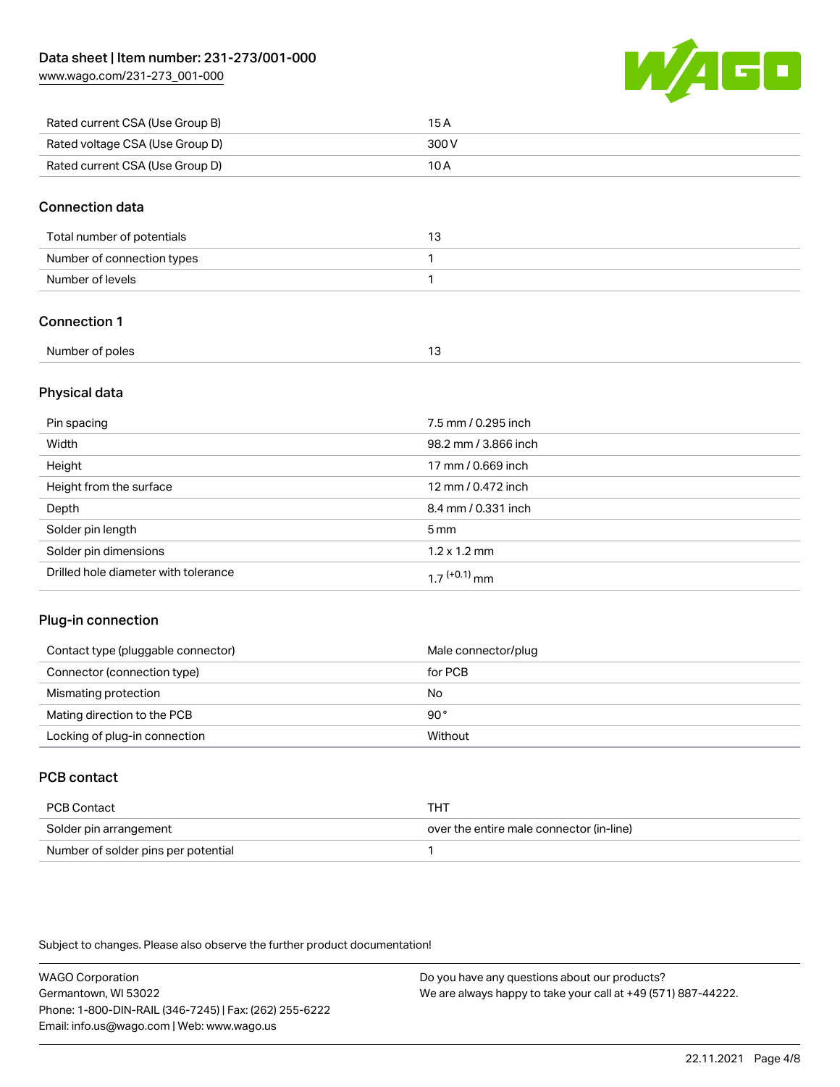[www.wago.com/231-273\\_001-000](http://www.wago.com/231-273_001-000)



| Rated current CSA (Use Group B) | 15 A  |
|---------------------------------|-------|
| Rated voltage CSA (Use Group D) | 300 V |
| Rated current CSA (Use Group D) | 10 A  |

#### Connection data

| Total number of potentials |  |
|----------------------------|--|
| Number of connection types |  |
| Number of levels           |  |

## Connection 1

| Number of poles |  |
|-----------------|--|

### Physical data

| Pin spacing                          | 7.5 mm / 0.295 inch  |
|--------------------------------------|----------------------|
| Width                                | 98.2 mm / 3.866 inch |
| Height                               | 17 mm / 0.669 inch   |
| Height from the surface              | 12 mm / 0.472 inch   |
| Depth                                | 8.4 mm / 0.331 inch  |
| Solder pin length                    | $5 \,\mathrm{mm}$    |
| Solder pin dimensions                | $1.2 \times 1.2$ mm  |
| Drilled hole diameter with tolerance | $17^{(+0.1)}$ mm     |

### Plug-in connection

| Contact type (pluggable connector) | Male connector/plug |
|------------------------------------|---------------------|
| Connector (connection type)        | for PCB             |
| Mismating protection               | No                  |
| Mating direction to the PCB        | 90°                 |
| Locking of plug-in connection      | Without             |

# PCB contact

| PCB Contact                         | THT                                      |
|-------------------------------------|------------------------------------------|
| Solder pin arrangement              | over the entire male connector (in-line) |
| Number of solder pins per potential |                                          |

Subject to changes. Please also observe the further product documentation!

WAGO Corporation Germantown, WI 53022 Phone: 1-800-DIN-RAIL (346-7245) | Fax: (262) 255-6222 Email: info.us@wago.com | Web: www.wago.us Do you have any questions about our products? We are always happy to take your call at +49 (571) 887-44222.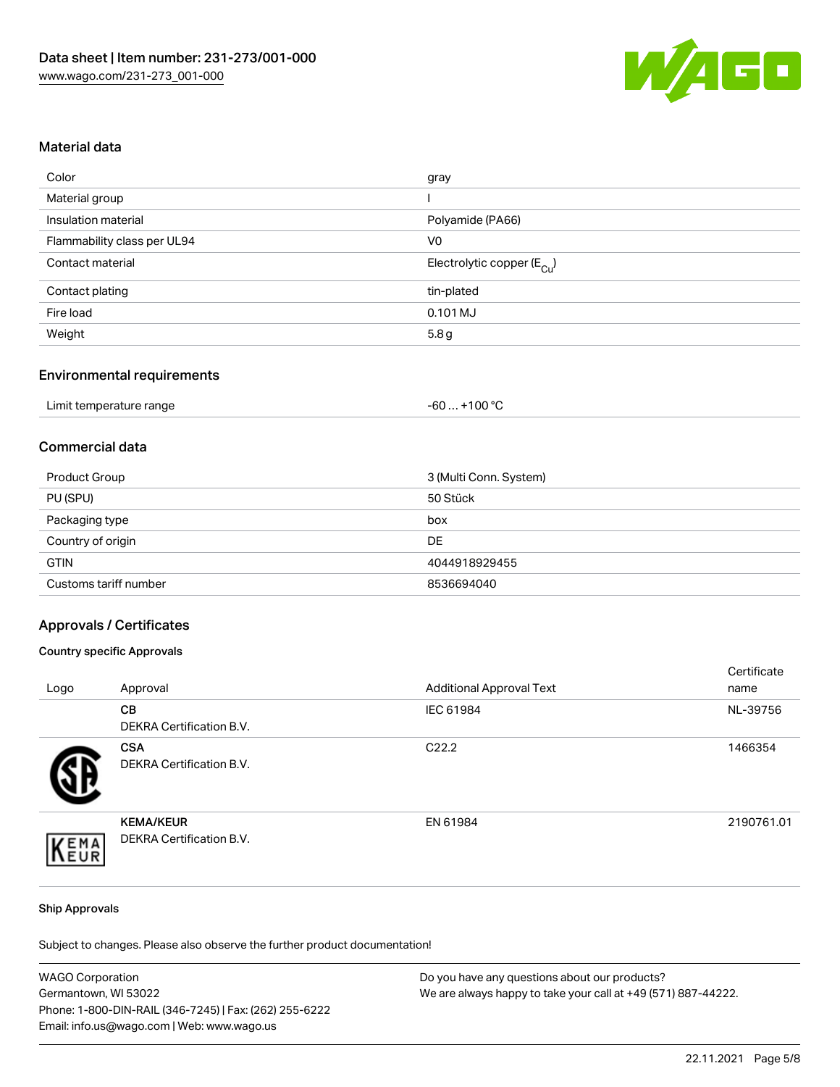

#### Material data

| gray                                   |
|----------------------------------------|
|                                        |
| Polyamide (PA66)                       |
| V <sub>0</sub>                         |
| Electrolytic copper (E <sub>Cu</sub> ) |
| tin-plated                             |
| 0.101 MJ                               |
| 5.8g                                   |
|                                        |

### Environmental requirements

| Limit temperature range | . +100 °C<br>-60 … |
|-------------------------|--------------------|
|-------------------------|--------------------|

### Commercial data

| Product Group         | 3 (Multi Conn. System) |
|-----------------------|------------------------|
| PU (SPU)              | 50 Stück               |
| Packaging type        | box                    |
| Country of origin     | DE                     |
| <b>GTIN</b>           | 4044918929455          |
| Customs tariff number | 8536694040             |

#### Approvals / Certificates

#### Country specific Approvals

| Logo | Approval                                            | <b>Additional Approval Text</b> | Certificate<br>name |
|------|-----------------------------------------------------|---------------------------------|---------------------|
|      | <b>CB</b><br>DEKRA Certification B.V.               | IEC 61984                       | NL-39756            |
|      | <b>CSA</b><br>DEKRA Certification B.V.              | C <sub>22.2</sub>               | 1466354             |
| EMA  | <b>KEMA/KEUR</b><br><b>DEKRA Certification B.V.</b> | EN 61984                        | 2190761.01          |

#### Ship Approvals

Subject to changes. Please also observe the further product documentation!

| <b>WAGO Corporation</b>                                | Do you have any questions about our products?                 |
|--------------------------------------------------------|---------------------------------------------------------------|
| Germantown, WI 53022                                   | We are always happy to take your call at +49 (571) 887-44222. |
| Phone: 1-800-DIN-RAIL (346-7245)   Fax: (262) 255-6222 |                                                               |
| Email: info.us@wago.com   Web: www.wago.us             |                                                               |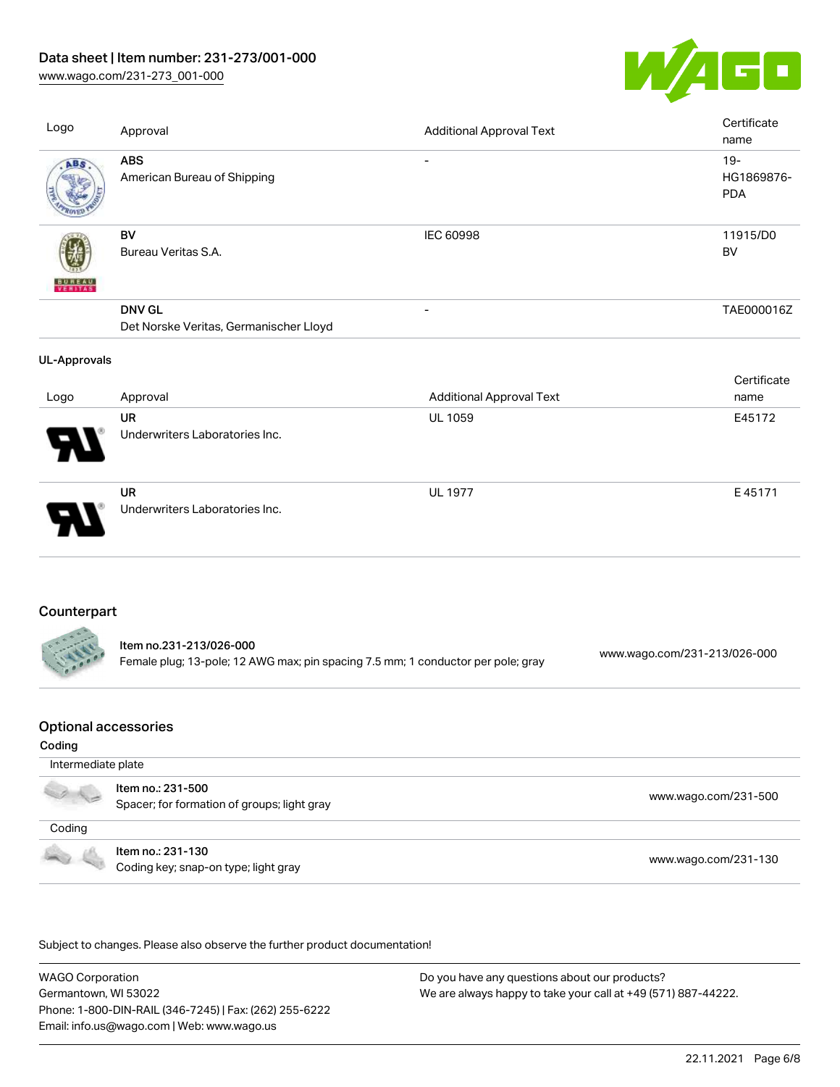# Data sheet | Item number: 231-273/001-000

[www.wago.com/231-273\\_001-000](http://www.wago.com/231-273_001-000)



| Logo                        | Approval                                                                                                    | <b>Additional Approval Text</b> | Certificate<br>name          |             |
|-----------------------------|-------------------------------------------------------------------------------------------------------------|---------------------------------|------------------------------|-------------|
| ABS                         | <b>ABS</b><br>American Bureau of Shipping                                                                   | $\overline{\phantom{a}}$        | $19 -$<br><b>PDA</b>         | HG1869876-  |
| VERITAS                     | BV<br>Bureau Veritas S.A.                                                                                   | <b>IEC 60998</b>                | 11915/D0<br><b>BV</b>        |             |
|                             | <b>DNV GL</b><br>Det Norske Veritas, Germanischer Lloyd                                                     |                                 |                              | TAE000016Z  |
| <b>UL-Approvals</b>         |                                                                                                             |                                 |                              |             |
| Logo                        | Approval                                                                                                    | <b>Additional Approval Text</b> | name                         | Certificate |
|                             | <b>UR</b><br>Underwriters Laboratories Inc.                                                                 | <b>UL 1059</b>                  |                              | E45172      |
|                             | <b>UR</b><br>Underwriters Laboratories Inc.                                                                 | <b>UL 1977</b>                  |                              | E45171      |
| Counterpart                 |                                                                                                             |                                 |                              |             |
|                             | Item no.231-213/026-000<br>Female plug; 13-pole; 12 AWG max; pin spacing 7.5 mm; 1 conductor per pole; gray |                                 | www.wago.com/231-213/026-000 |             |
| <b>Optional accessories</b> |                                                                                                             |                                 |                              |             |
| Coding                      |                                                                                                             |                                 |                              |             |

| Intermediate plate                                                                                                                                                                                                                   |                                                                  |                      |  |
|--------------------------------------------------------------------------------------------------------------------------------------------------------------------------------------------------------------------------------------|------------------------------------------------------------------|----------------------|--|
|                                                                                                                                                                                                                                      | Item no.: 231-500<br>Spacer; for formation of groups; light gray | www.wago.com/231-500 |  |
| Coding                                                                                                                                                                                                                               |                                                                  |                      |  |
| <b>Contract Contract Contract Contract Contract Contract Contract Contract Contract Contract Contract Contract Contract Contract Contract Contract Contract Contract Contract Contract Contract Contract Contract Contract Contr</b> | ltem no.: 231-130<br>Coding key; snap-on type; light gray        | www.wago.com/231-130 |  |

.<br>Subject to changes. Please also observe the further product documentation!

WAGO Corporation Germantown, WI 53022 Phone: 1-800-DIN-RAIL (346-7245) | Fax: (262) 255-6222 Email: info.us@wago.com | Web: www.wago.us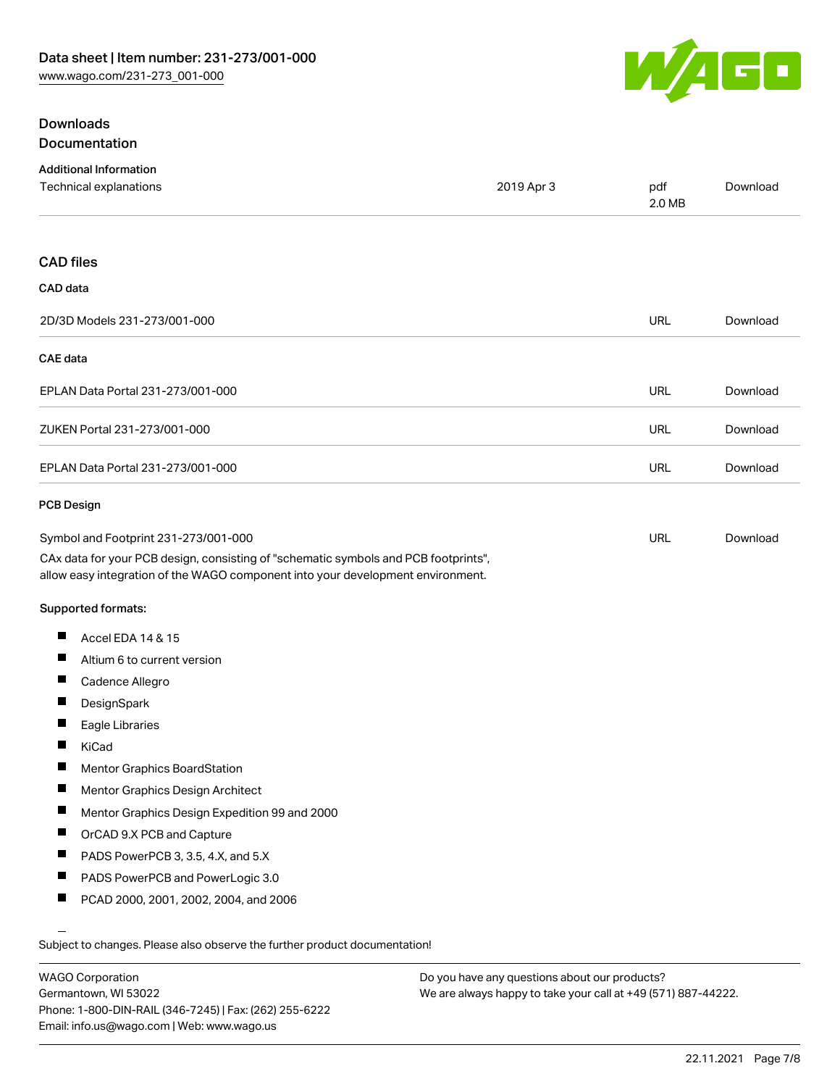

# **Downloads** Documentation

| <b>Additional Information</b>                                                                                                                                          |            |               |          |
|------------------------------------------------------------------------------------------------------------------------------------------------------------------------|------------|---------------|----------|
| Technical explanations                                                                                                                                                 | 2019 Apr 3 | pdf<br>2.0 MB | Download |
| <b>CAD files</b>                                                                                                                                                       |            |               |          |
| CAD data                                                                                                                                                               |            |               |          |
| 2D/3D Models 231-273/001-000                                                                                                                                           |            | <b>URL</b>    | Download |
| <b>CAE</b> data                                                                                                                                                        |            |               |          |
| EPLAN Data Portal 231-273/001-000                                                                                                                                      |            | URL           | Download |
| ZUKEN Portal 231-273/001-000                                                                                                                                           |            | URL           | Download |
| EPLAN Data Portal 231-273/001-000                                                                                                                                      |            | URL           | Download |
| <b>PCB Design</b>                                                                                                                                                      |            |               |          |
| Symbol and Footprint 231-273/001-000                                                                                                                                   |            | URL           | Download |
| CAx data for your PCB design, consisting of "schematic symbols and PCB footprints",<br>allow easy integration of the WAGO component into your development environment. |            |               |          |
| Supported formats:                                                                                                                                                     |            |               |          |
| ш<br>Accel EDA 14 & 15                                                                                                                                                 |            |               |          |
| Ш<br>Altium 6 to current version                                                                                                                                       |            |               |          |
| ш<br>Cadence Allegro                                                                                                                                                   |            |               |          |
| −<br>DesignSpark                                                                                                                                                       |            |               |          |
| п<br>Eagle Libraries                                                                                                                                                   |            |               |          |
| ш<br>KiCad                                                                                                                                                             |            |               |          |
| Mentor Graphics BoardStation                                                                                                                                           |            |               |          |
| ш<br>Mentor Graphics Design Architect                                                                                                                                  |            |               |          |
| ш<br>Mentor Graphics Design Expedition 99 and 2000                                                                                                                     |            |               |          |
| ш<br>OrCAD 9.X PCB and Capture                                                                                                                                         |            |               |          |
| Ш<br>PADS PowerPCB 3, 3.5, 4.X, and 5.X                                                                                                                                |            |               |          |
| ш<br>PADS PowerPCB and PowerLogic 3.0                                                                                                                                  |            |               |          |
| Ш<br>PCAD 2000, 2001, 2002, 2004, and 2006                                                                                                                             |            |               |          |
| Subject to changes. Please also observe the further product documentation!                                                                                             |            |               |          |